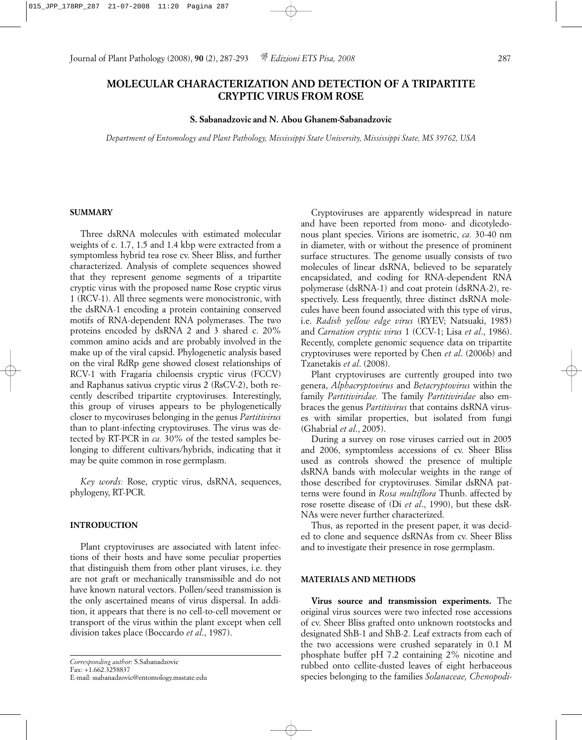Journal of Plant Pathology (2008), **90** (2), 287-293 *Edizioni ETS Pisa, 2008* 287

# **MOLECULAR CHARACTERIZATION AND DETECTION OF A TRIPARTITE CRYPTIC VIRUS FROM ROSE**

# **S. Sabanadzovic and N. Abou Ghanem-Sabanadzovic**

*Department of Entomology and Plant Pathology, Mississippi State University, Mississippi State, MS 39762, USA*

## **SUMMARY**

Three dsRNA molecules with estimated molecular weights of c. 1.7, 1.5 and 1.4 kbp were extracted from a symptomless hybrid tea rose cv. Sheer Bliss, and further characterized. Analysis of complete sequences showed that they represent genome segments of a tripartite cryptic virus with the proposed name Rose cryptic virus 1 (RCV-1). All three segments were monocistronic, with the dsRNA-1 encoding a protein containing conserved motifs of RNA-dependent RNA polymerases. The two proteins encoded by dsRNA 2 and 3 shared c. 20% common amino acids and are probably involved in the make up of the viral capsid. Phylogenetic analysis based on the viral RdRp gene showed closest relationships of RCV-1 with Fragaria chiloensis cryptic virus (FCCV) and Raphanus sativus cryptic virus 2 (RsCV-2), both recently described tripartite cryptoviruses. Interestingly, this group of viruses appears to be phylogenetically closer to mycoviruses belonging in the genus *Partitivirus* than to plant-infecting cryptoviruses. The virus was detected by RT-PCR in *ca.* 30% of the tested samples belonging to different cultivars/hybrids, indicating that it may be quite common in rose germplasm.

*Key words:* Rose, cryptic virus, dsRNA, sequences, phylogeny, RT-PCR.

### **INTRODUCTION**

Plant cryptoviruses are associated with latent infections of their hosts and have some peculiar properties that distinguish them from other plant viruses, i.e. they are not graft or mechanically transmissible and do not have known natural vectors. Pollen/seed transmission is the only ascertained means of virus dispersal. In addition, it appears that there is no cell-to-cell movement or transport of the virus within the plant except when cell division takes place (Boccardo *et al*., 1987).

E-mail: ssabanadzovic@entomology.msstate.edu

Cryptoviruses are apparently widespread in nature and have been reported from mono- and dicotyledonous plant species. Virions are isometric, *ca.* 30-40 nm in diameter, with or without the presence of prominent surface structures. The genome usually consists of two molecules of linear dsRNA, believed to be separately encapsidated, and coding for RNA-dependent RNA polymerase (dsRNA-1) and coat protein (dsRNA-2), respectively. Less frequently, three distinct dsRNA molecules have been found associated with this type of virus, i.e. *Radish yellow edge virus* (RYEV; Natsuaki, 1985) and *Carnation cryptic virus* 1 (CCV-1; Lisa *et al*., 1986). Recently, complete genomic sequence data on tripartite cryptoviruses were reported by Chen *et al*. (2006b) and Tzanetakis *et al*. (2008).

Plant cryptoviruses are currently grouped into two genera, *Alphacryptovirus* and *Betacryptovirus* within the family *Partitiviridae.* The family *Partitiviridae* also embraces the genus *Partitivirus* that contains dsRNA viruses with similar properties, but isolated from fungi (Ghabrial *et al*., 2005).

During a survey on rose viruses carried out in 2005 and 2006, symptomless accessions of cv. Sheer Bliss used as controls showed the presence of multiple dsRNA bands with molecular weights in the range of those described for cryptoviruses. Similar dsRNA patterns were found in *Rosa multiflora* Thunb. affected by rose rosette disease of (Di *et al*., 1990), but these dsR-NAs were never further characterized.

Thus, as reported in the present paper, it was decided to clone and sequence dsRNAs from cv. Sheer Bliss and to investigate their presence in rose germplasm.

### **MATERIALS AND METHODS**

**Virus source and transmission experiments.** The original virus sources were two infected rose accessions of cv. Sheer Bliss grafted onto unknown rootstocks and designated ShB-1 and ShB-2. Leaf extracts from each of the two accessions were crushed separately in 0.1 M phosphate buffer pH 7.2 containing 2% nicotine and rubbed onto cellite-dusted leaves of eight herbaceous species belonging to the families *Solanaceae, Chenopodi-*

*Corresponding author*: S.Sabanadzovic Fax: +1.662.3258837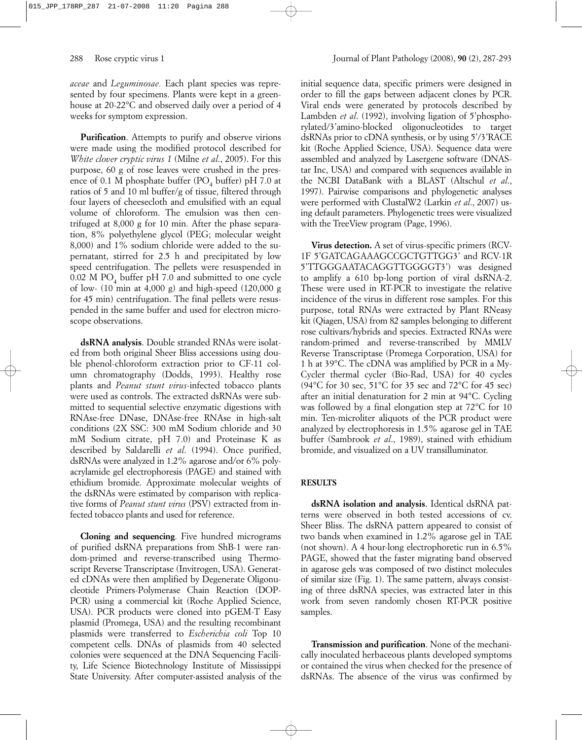288 Rose cryptic virus 1 Journal of Plant Pathology (2008), **90** (2), 287-293

*aceae* and *Leguminosae.* Each plant species was represented by four specimens. Plants were kept in a greenhouse at 20-22°C and observed daily over a period of 4 weeks for symptom expression.

**Purification**. Attempts to purify and observe virions were made using the modified protocol described for *White clover cryptic virus 1* (Milne *et al*., 2005). For this purpose, 60 g of rose leaves were crushed in the presence of 0.1 M phosphate buffer (PO<sub>4</sub> buffer) pH 7.0 at ratios of 5 and 10 ml buffer/g of tissue, filtered through four layers of cheesecloth and emulsified with an equal volume of chloroform. The emulsion was then centrifuged at 8,000 g for 10 min. After the phase separation, 8% polyethylene glycol (PEG; molecular weight 8,000) and 1% sodium chloride were added to the supernatant, stirred for 2.5 h and precipitated by low speed centrifugation. The pellets were resuspended in 0.02 M  $PO<sub>4</sub>$  buffer pH 7.0 and submitted to one cycle of low- (10 min at 4,000 g) and high-speed (120,000 g for 45 min) centrifugation. The final pellets were resuspended in the same buffer and used for electron microscope observations.

**dsRNA analysis**. Double stranded RNAs were isolated from both original Sheer Bliss accessions using double phenol-chloroform extraction prior to CF-11 column chromatography (Dodds, 1993). Healthy rose plants and *Peanut stunt virus*-infected tobacco plants were used as controls. The extracted dsRNAs were submitted to sequential selective enzymatic digestions with RNAse-free DNase, DNAse-free RNAse in high-salt conditions (2X SSC: 300 mM Sodium chloride and 30 mM Sodium citrate, pH 7.0) and Proteinase K as described by Saldarelli *et al*. (1994). Once purified, dsRNAs were analyzed in 1.2% agarose and/or 6% polyacrylamide gel electrophoresis (PAGE) and stained with ethidium bromide. Approximate molecular weights of the dsRNAs were estimated by comparison with replicative forms of *Peanut stunt virus* (PSV) extracted from infected tobacco plants and used for reference.

**Cloning and sequencing**. Five hundred micrograms of purified dsRNA preparations from ShB-1 were random-primed and reverse-transcribed using Thermoscript Reverse Transcriptase (Invitrogen, USA). Generated cDNAs were then amplified by Degenerate Oligonucleotide Primers-Polymerase Chain Reaction (DOP-PCR) using a commercial kit (Roche Applied Science, USA). PCR products were cloned into pGEM-T Easy plasmid (Promega, USA) and the resulting recombinant plasmids were transferred to *Escherichia coli* Top 10 competent cells. DNAs of plasmids from 40 selected colonies were sequenced at the DNA Sequencing Facility, Life Science Biotechnology Institute of Mississippi State University. After computer-assisted analysis of the

initial sequence data, specific primers were designed in order to fill the gaps between adjacent clones by PCR. Viral ends were generated by protocols described by Lambden *et al.* (1992), involving ligation of 5'phosphorylated/3'amino-blocked oligonucleotides to target dsRNAs prior to cDNA synthesis, or by using 5'/3'RACE kit (Roche Applied Science, USA). Sequence data were assembled and analyzed by Lasergene software (DNAStar Inc, USA) and compared with sequences available in the NCBI DataBank with a BLAST (Altschul *et al*., 1997). Pairwise comparisons and phylogenetic analyses were performed with ClustalW2 (Larkin *et al*., 2007) using default parameters. Phylogenetic trees were visualized with the TreeView program (Page, 1996).

**Virus detection.** A set of virus-specific primers (RCV-1F 5'GATCAGAAAGCCGCTGTTGG3' and RCV-1R 5'TTGGGAATACAGGTTGGGGT3') was designed to amplify a 610 bp-long portion of viral dsRNA-2. These were used in RT-PCR to investigate the relative incidence of the virus in different rose samples. For this purpose, total RNAs were extracted by Plant RNeasy kit (Qiagen, USA) from 82 samples belonging to different rose cultivars/hybrids and species. Extracted RNAs were random-primed and reverse-transcribed by MMLV Reverse Transcriptase (Promega Corporation, USA) for 1 h at 39°C. The cDNA was amplified by PCR in a My-Cycler thermal cycler (Bio-Rad, USA) for 40 cycles (94°C for 30 sec, 51°C for 35 sec and 72°C for 45 sec) after an initial denaturation for 2 min at 94°C. Cycling was followed by a final elongation step at 72°C for 10 min. Ten-microliter aliquots of the PCR product were analyzed by electrophoresis in 1.5% agarose gel in TAE buffer (Sambrook *et al*., 1989), stained with ethidium bromide, and visualized on a UV transilluminator.

### **RESULTS**

**dsRNA isolation and analysis**. Identical dsRNA patterns were observed in both tested accessions of cv. Sheer Bliss. The dsRNA pattern appeared to consist of two bands when examined in 1.2% agarose gel in TAE (not shown). A 4 hour-long electrophoretic run in 6.5% PAGE, showed that the faster migrating band observed in agarose gels was composed of two distinct molecules of similar size (Fig. 1). The same pattern, always consisting of three dsRNA species, was extracted later in this work from seven randomly chosen RT-PCR positive samples.

**Transmission and purification**. None of the mechanically inoculated herbaceous plants developed symptoms or contained the virus when checked for the presence of dsRNAs. The absence of the virus was confirmed by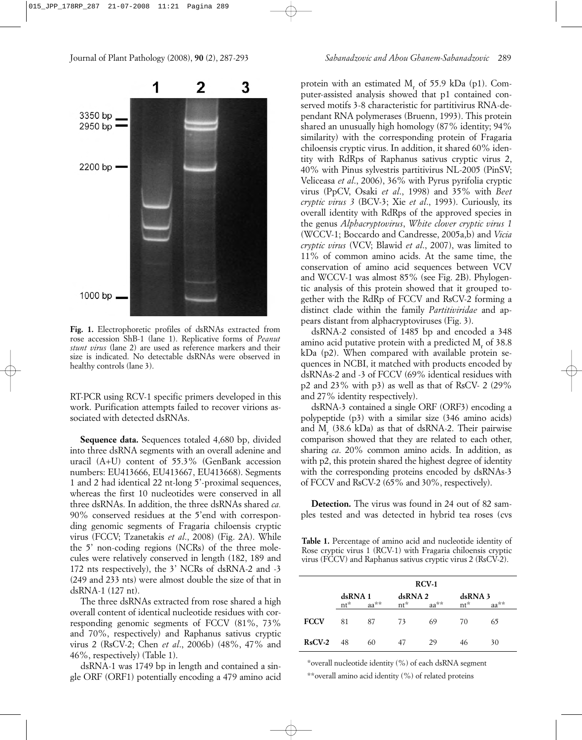#### Journal of Plant Pathology (2008), **90** (2), 287-293 *Sabanadzovic and Abou Ghanem-Sabanadzovic* 289



**Fig. 1.** Electrophoretic profiles of dsRNAs extracted from rose accession ShB-1 (lane 1). Replicative forms of *Peanut stunt virus* (lane 2) are used as reference markers and their size is indicated. No detectable dsRNAs were observed in healthy controls (lane 3).

RT-PCR using RCV-1 specific primers developed in this work. Purification attempts failed to recover virions associated with detected dsRNAs.

**Sequence data.** Sequences totaled 4,680 bp, divided into three dsRNA segments with an overall adenine and uracil (A+U) content of 55.3% (GenBank accession numbers: EU413666, EU413667, EU413668). Segments 1 and 2 had identical 22 nt-long 5'-proximal sequences, whereas the first 10 nucleotides were conserved in all three dsRNAs. In addition, the three dsRNAs shared *ca.* 90% conserved residues at the 5'end with corresponding genomic segments of Fragaria chiloensis cryptic virus (FCCV; Tzanetakis *et al*., 2008) (Fig. 2A). While the 5' non-coding regions (NCRs) of the three molecules were relatively conserved in length (182, 189 and 172 nts respectively), the 3' NCRs of dsRNA-2 and -3 (249 and 233 nts) were almost double the size of that in dsRNA-1 (127 nt).

The three dsRNAs extracted from rose shared a high overall content of identical nucleotide residues with corresponding genomic segments of FCCV (81%, 73% and 70%, respectively) and Raphanus sativus cryptic virus 2 (RsCV-2; Chen *et al*., 2006b) (48%, 47% and 46%, respectively) (Table 1).

dsRNA-1 was 1749 bp in length and contained a single ORF (ORF1) potentially encoding a 479 amino acid protein with an estimated  $M_r$  of 55.9 kDa (p1). Computer-assisted analysis showed that p1 contained conserved motifs 3-8 characteristic for partitivirus RNA-dependant RNA polymerases (Bruenn, 1993). This protein shared an unusually high homology (87% identity; 94% similarity) with the corresponding protein of Fragaria chiloensis cryptic virus. In addition, it shared 60% identity with RdRps of Raphanus sativus cryptic virus 2, 40% with Pinus sylvestris partitivirus NL-2005 (PinSV; Veliceasa *et al*., 2006), 36% with Pyrus pyrifolia cryptic virus (PpCV, Osaki *et al*., 1998) and 35% with *Beet cryptic virus 3* (BCV-3; Xie *et al*., 1993). Curiously, its overall identity with RdRps of the approved species in the genus *Alphacryptovirus*, *White clover cryptic virus 1* (WCCV-1; Boccardo and Candresse, 2005a,b) and *Vicia cryptic virus* (VCV; Blawid *et al*., 2007), was limited to 11% of common amino acids. At the same time, the conservation of amino acid sequences between VCV and WCCV-1 was almost 85% (see Fig. 2B). Phylogentic analysis of this protein showed that it grouped together with the RdRp of FCCV and RsCV-2 forming a distinct clade within the family *Partitiviridae* and appears distant from alphacryptoviruses (Fig. 3).

dsRNA-2 consisted of 1485 bp and encoded a 348 amino acid putative protein with a predicted  $M_{\alpha}$  of 38.8 kDa (p2). When compared with available protein sequences in NCBI, it matched with products encoded by dsRNAs-2 and -3 of FCCV (69% identical residues with p2 and 23% with p3) as well as that of RsCV- 2 (29% and 27% identity respectively).

dsRNA-3 contained a single ORF (ORF3) encoding a polypeptide (p3) with a similar size (346 amino acids) and M<sub>r</sub>  $(38.6 \text{ kDa})$  as that of dsRNA-2. Their pairwise comparison showed that they are related to each other, sharing *ca*. 20% common amino acids. In addition, as with p2, this protein shared the highest degree of identity with the corresponding proteins encoded by dsRNAs-3 of FCCV and RsCV-2 (65% and 30%, respectively).

**Detection.** The virus was found in 24 out of 82 samples tested and was detected in hybrid tea roses (cvs

**Table 1.** Percentage of amino acid and nucleotide identity of Rose cryptic virus 1 (RCV-1) with Fragaria chiloensis cryptic virus (FCCV) and Raphanus sativus cryptic virus 2 (RsCV-2).

|             | $RCV-1$                     |    |                             |    |                           |    |  |
|-------------|-----------------------------|----|-----------------------------|----|---------------------------|----|--|
|             | dsRNA 1<br>$nt^*$<br>$aa**$ |    | dsRNA 2<br>$nt^*$<br>$aa**$ |    | dsRNA 3<br>$nt^*$<br>aa** |    |  |
| <b>FCCV</b> | 81                          | 87 | 73                          | 69 | 70                        | 65 |  |
| $RsCV-2$    | 48                          | 60 | 47                          | 29 | 46                        | 30 |  |

\*overall nucleotide identity (%) of each dsRNA segment \*\*overall amino acid identity (%) of related proteins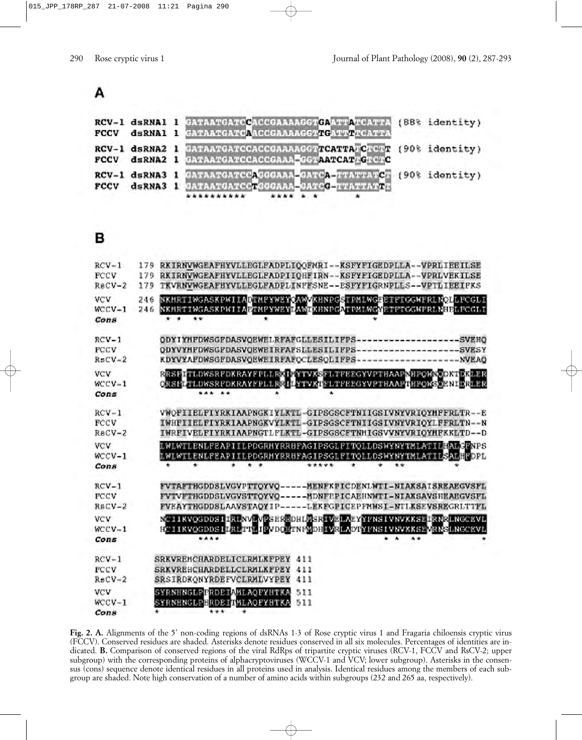# А

|  | RCV-1 dsRNA1 1 GATAATGATGCGGGAAAAGGTGAATTATGATTA (88% identity)<br>FCCV dsRNA1 1 GATAATGATCAACCGAAAAGGTTGATTTCATTA   |  |
|--|----------------------------------------------------------------------------------------------------------------------|--|
|  | RCV-1 dsRNA2 1 CATAATGATCCACCGAAAAGGTTCATTATCTCTT (90% identity)<br>FCCV dsRNA2 1 GATAATGATCCACCGAAA GGTAATCATAGTCTC |  |
|  | RCV-1 dsRNA3 1 GATAATGATCCAGGGAAA-GATCA-FTATTATC (90% identity)<br>FCCV dsRNA3 1 CATAATGATCCTGGGAAA GATCG-TTATTATTT  |  |

# в

| $RCV-1$<br>FCCV<br>$RecV-2$        | 179<br>179<br>179 | RKIRNVWGEAFHYVLLEGLFADPLIOOFNRI--KSFYFIGEDPLLA--VPRLIEEILSE<br>RKIRNVWGEAFHYVLLEGLFADPIIOHFIRN--KSFYFIGEDPLLA--VPRLVEKILSE<br>TKVRNVWGEAFHYVLLEGLFADPLINFFSNE--ESFYFIGRNPLLS--VPTLIEEIFKS                                      |
|------------------------------------|-------------------|--------------------------------------------------------------------------------------------------------------------------------------------------------------------------------------------------------------------------------|
| VCV<br>$WCCV-1$<br>Cons            | 246<br>246        | NKHRTMWGASKPWLTADTNEWWEWCAW/KHNPGSTPMLWGFBTFFCGWFRLYOLLFCGLT<br>NKHRTINGASKPWIIAETNFYWEYLAWIKHNPGATPMLWGYETFTGGWFRLNHELFCGLI<br>$\star\star$<br>* *                                                                            |
| $RCV-1$<br><b>FCCV</b><br>$R5CV-2$ |                   | ODYIYHFDWSGFDASVQEWELRFAFGLLESILIFPS-------------------SVEHQ<br>ODYVYHFDWSGFDASVOEWEIRFAFSLLESILIFPS--------------------SVESY<br>KDYVYAFDWSGFDASVQEWEIRFAFQCLESQLIFPS---------------------NVEAQ                                |
| vcv<br>$WCCV-1$<br>Cons            |                   | RRSPITTLDWSRFDKRAYFPLLRXIWYTVXSFLTFEEXXVPTHAAPMHPONNXDKTEKLER<br>CRSFLTLDWSRFDKRAYFFLLER LLYTVXTFLTFEEGYVFTHAAPTHPONSOENIERLER<br>*** **                                                                                       |
| $RCV-1$<br><b>FCCV</b><br>$ReCV-2$ |                   | VWQFIIELFIYRKIAAPNGKIYLKTL-GIPSGSCFTNIIGSIVNYVRIQYMFFRLTR--E<br>IWHFIIELFIYRKIAAPNGKVYLKTL-GIPSGSCFTNIIGSIVNYVRIQYLFFRLTN--N<br>IWRFIVELFIYRKIAAPNGTLFLKTL-GIPSGSCFTNHIGSVVNYVRIOYHFKKLTD--D                                   |
| VCV<br>$WCCV-1$<br>Cons            |                   | LWLWTLENLFEAPIILPDGRHYRRHFAGIPSGLPITOLLDSWYNYTMLATIL <mark>HALCERPS</mark><br>LWLWTLENLFEAPIILPDGRMYRRHFAGIPSGLFITQLLDSWYNYTMLATIL <mark>SALHFDPL</mark><br>*****<br>۰<br>÷<br>$\bullet$<br>$\star$ +<br>. .<br>$\bullet$<br>٠ |
| $RCV-1$<br><b>FCCV</b><br>$RsCV-2$ |                   | FVTAFTBGDDSLVGVPTTOYVQ-----MENFKPICDENLWTI-NIAKSAISREAEGVSFL<br>FVTVFTHGDDSLVGVSTTOYVQ-----MDNFEPICAEHNWTI-NIAKSAVSHEAEGVSFL<br>FVEAYTHGDDSLAAVSTAQYIP-----LEKFGPICEPFNWSI-NILKSEVSREGRLTTFL                                   |
| <b>VCV</b><br>$WCCV-1$<br>Cons     |                   | NTIIKVOGDDSIIRINVEVEGERHDHLASRIVELAEYYFRSIVRVAKSIIRRRLRGCEVL<br>8CIIKVQGDDSILALITLIPVDQRINFMDBIVRLADTYFNSIVNVXKSPVRNGLNGCEVL<br>****<br>$\ddot{\phantom{1}}$<br>$\star$                                                        |
| $RCV-1$<br>FCCV<br>$ReCV-2$        |                   | SRKVREMCHARDELICLRMLKFPEY<br>411<br><b>SRKVREHCHARDELLCLRMLKFPEY</b><br>411<br><b>SRSIRDKONYRDEFVCLRMLVYPEY</b><br>411                                                                                                         |
| VCV<br>$WCCV-1$<br>Cons            |                   | SYRNHNGLPFRDEIAMLAOFYHTKA<br>511<br>511<br>SYRNHNGLPERDEILMLAQFYHTKA<br>$***$<br>٠                                                                                                                                             |

**Fig. 2. A.** Alignments of the 5' non-coding regions of dsRNAs 1-3 of Rose cryptic virus 1 and Fragaria chiloensis cryptic virus (FCCV). Conserved residues are shaded. Asterisks denote residues conserved in all six molecules. Percentages of identities are indicated. **B.** Comparison of conserved regions of the viral RdRps of tripartite cryptic viruses (RCV-1, FCCV and RsCV-2; upper subgroup) with the corresponding proteins of alphacryptoviruses (WCCV-1 and VCV; lower subgroup). Asterisks in the consensus (cons) sequence denote identical residues in all proteins used in analysis. Identical residues among the members of each subgroup are shaded. Note high conservation of a number of amino acids within subgroups (232 and 265 aa, respectively).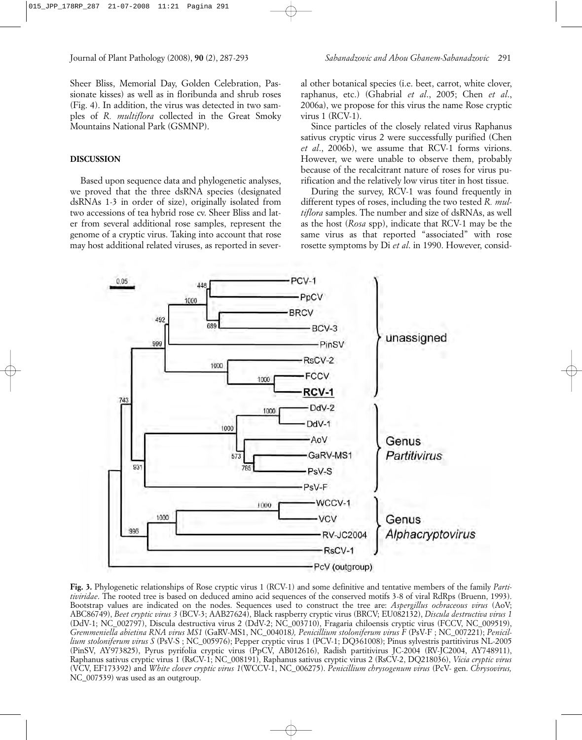Sheer Bliss, Memorial Day, Golden Celebration, Passionate kisses) as well as in floribunda and shrub roses (Fig. 4). In addition, the virus was detected in two samples of *R. multiflora* collected in the Great Smoky Mountains National Park (GSMNP).

## **DISCUSSION**

Based upon sequence data and phylogenetic analyses, we proved that the three dsRNA species (designated dsRNAs 1-3 in order of size), originally isolated from two accessions of tea hybrid rose cv. Sheer Bliss and later from several additional rose samples, represent the genome of a cryptic virus. Taking into account that rose may host additional related viruses, as reported in several other botanical species (i.e. beet, carrot, white clover, raphanus, etc.) (Ghabrial *et al*., 2005; Chen *et al*., 2006a), we propose for this virus the name Rose cryptic virus 1 (RCV-1).

Since particles of the closely related virus Raphanus sativus cryptic virus 2 were successfully purified (Chen *et al*., 2006b), we assume that RCV-1 forms virions. However, we were unable to observe them, probably because of the recalcitrant nature of roses for virus purification and the relatively low virus titer in host tissue.

During the survey, RCV-1 was found frequently in different types of roses, including the two tested *R. multiflora* samples. The number and size of dsRNAs, as well as the host (*Rosa* spp), indicate that RCV-1 may be the same virus as that reported "associated" with rose rosette symptoms by Di *et al*. in 1990. However, consid-



**Fig. 3.** Phylogenetic relationships of Rose cryptic virus 1 (RCV-1) and some definitive and tentative members of the family *Partitiviridae*. The rooted tree is based on deduced amino acid sequences of the conserved motifs 3-8 of viral RdRps (Bruenn, 1993). Bootstrap values are indicated on the nodes. Sequences used to construct the tree are: *Aspergillus ochraceous virus* (AoV; ABC86749), *Beet cryptic virus 3* (BCV-3; AAB27624), Black raspberry cryptic virus (BRCV; EU082132), *Discula destructiva virus 1* (DdV-1; NC\_002797), Discula destructiva virus 2 (DdV-2; NC\_003710), Fragaria chiloensis cryptic virus (FCCV, NC\_009519), *Gremmeniella abietina RNA virus MS1* (GaRV-MS1, NC\_004018*), Penicillium stoloniferum virus F* (PsV-F ; NC\_007221); *Penicillium stoloniferum virus S* (PsV-S ; NC\_005976); Pepper cryptic virus 1 (PCV-1; DQ361008); Pinus sylvestris partitivirus NL-2005 (PinSV, AY973825), Pyrus pyrifolia cryptic virus (PpCV, AB012616), Radish partitivirus JC-2004 (RV-JC2004, AY748911), Raphanus sativus cryptic virus 1 (RsCV-1; NC\_008191), Raphanus sativus cryptic virus 2 (RsCV-2, DQ218036), *Vicia cryptic virus* (VCV, EF173392) and *White clover cryptic virus 1*(WCCV-1, NC\_006275). *Penicillium chrysogenum virus* (PcV- gen. *Chrysovirus,* NC\_007539) was used as an outgroup.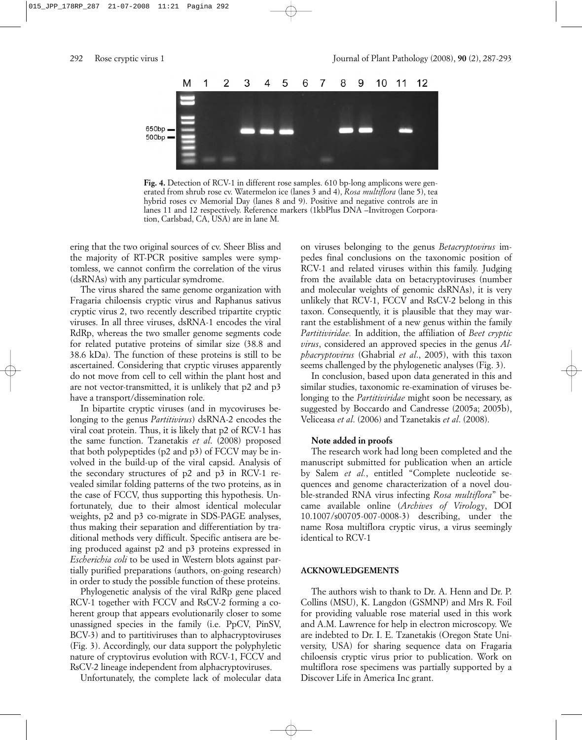

**Fig. 4.** Detection of RCV-1 in different rose samples. 610 bp-long amplicons were generated from shrub rose cv. Watermelon ice (lanes 3 and 4), *Rosa multiflora* (lane 5), tea hybrid roses cv Memorial Day (lanes 8 and 9). Positive and negative controls are in lanes 11 and 12 respectively. Reference markers (1kbPlus DNA –Invitrogen Corporation, Carlsbad, CA, USA) are in lane M.

ering that the two original sources of cv. Sheer Bliss and the majority of RT-PCR positive samples were symptomless, we cannot confirm the correlation of the virus (dsRNAs) with any particular symdrome.

The virus shared the same genome organization with Fragaria chiloensis cryptic virus and Raphanus sativus cryptic virus 2, two recently described tripartite cryptic viruses. In all three viruses, dsRNA-1 encodes the viral RdRp, whereas the two smaller genome segments code for related putative proteins of similar size (38.8 and 38.6 kDa). The function of these proteins is still to be ascertained. Considering that cryptic viruses apparently do not move from cell to cell within the plant host and are not vector-transmitted, it is unlikely that p2 and p3 have a transport/dissemination role.

In bipartite cryptic viruses (and in mycoviruses belonging to the genus *Partitivirus*) dsRNA-2 encodes the viral coat protein. Thus, it is likely that p2 of RCV-1 has the same function. Tzanetakis *et al*. (2008) proposed that both polypeptides (p2 and p3) of FCCV may be involved in the build-up of the viral capsid. Analysis of the secondary structures of p2 and p3 in RCV-1 revealed similar folding patterns of the two proteins, as in the case of FCCV, thus supporting this hypothesis. Unfortunately, due to their almost identical molecular weights, p2 and p3 co-migrate in SDS-PAGE analyses, thus making their separation and differentiation by traditional methods very difficult. Specific antisera are being produced against p2 and p3 proteins expressed in *Escherichia coli* to be used in Western blots against partially purified preparations (authors, on-going research) in order to study the possible function of these proteins.

Phylogenetic analysis of the viral RdRp gene placed RCV-1 together with FCCV and RsCV-2 forming a coherent group that appears evolutionarily closer to some unassigned species in the family (i.e. PpCV, PinSV, BCV-3) and to partitiviruses than to alphacryptoviruses (Fig. 3). Accordingly, our data support the polyphyletic nature of cryptovirus evolution with RCV-1, FCCV and RsCV-2 lineage independent from alphacryptoviruses.

Unfortunately, the complete lack of molecular data

on viruses belonging to the genus *Betacryptovirus* impedes final conclusions on the taxonomic position of RCV-1 and related viruses within this family. Judging from the available data on betacryptoviruses (number and molecular weights of genomic dsRNAs), it is very unlikely that RCV-1, FCCV and RsCV-2 belong in this taxon. Consequently, it is plausible that they may warrant the establishment of a new genus within the family *Partitiviridae.* In addition, the affiliation of *Beet cryptic virus*, considered an approved species in the genus *Alphacryptovirus* (Ghabrial *et al*., 2005), with this taxon seems challenged by the phylogenetic analyses (Fig. 3).

In conclusion, based upon data generated in this and similar studies, taxonomic re-examination of viruses belonging to the *Partitiviridae* might soon be necessary, as suggested by Boccardo and Candresse (2005a; 2005b), Veliceasa *et al*. (2006) and Tzanetakis *et al*. (2008).

### **Note added in proofs**

The research work had long been completed and the manuscript submitted for publication when an article by Salem *et al.*, entitled "Complete nucleotide sequences and genome characterization of a novel double-stranded RNA virus infecting *Rosa multiflora*" became available online (*Archives of Virology*, DOI 10.1007/s00705-007-0008-3) describing, under the name Rosa multiflora cryptic virus, a virus seemingly identical to RCV-1

### **ACKNOWLEDGEMENTS**

The authors wish to thank to Dr. A. Henn and Dr. P. Collins (MSU), K. Langdon (GSMNP) and Mrs R. Foil for providing valuable rose material used in this work and A.M. Lawrence for help in electron microscopy. We are indebted to Dr. I. E. Tzanetakis (Oregon State University, USA) for sharing sequence data on Fragaria chiloensis cryptic virus prior to publication. Work on multiflora rose specimens was partially supported by a Discover Life in America Inc grant.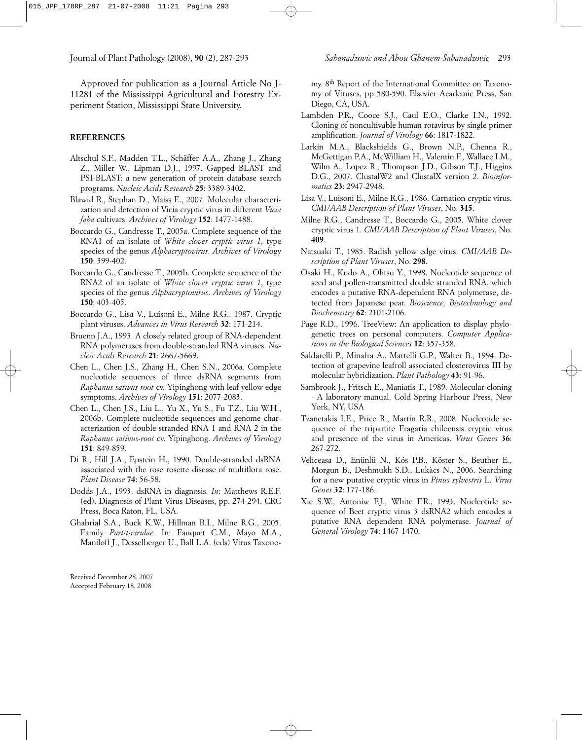Journal of Plant Pathology (2008), **90** (2), 287-293 *Sabanadzovic and Abou Ghanem-Sabanadzovic* 293

Approved for publication as a Journal Article No J-11281 of the Mississippi Agricultural and Forestry Ex-

periment Station, Mississippi State University.

### **REFERENCES**

- Altschul S.F., Madden T.L., Schäffer A.A., Zhang J., Zhang Z., Miller W., Lipman D.J., 1997. Gapped BLAST and PSI-BLAST: a new generation of protein database search programs. *Nucleic Acids Research* **25**: 3389-3402.
- Blawid R., Stephan D., Maiss E., 2007. Molecular characterization and detection of Vicia cryptic virus in different *Vicia faba* cultivars. *Archives of Virology* **152**: 1477-1488.
- Boccardo G., Candresse T., 2005a. Complete sequence of the RNA1 of an isolate of *White clover cryptic virus 1*, type species of the genus *Alphacryptovirus*. *Archives of Virol*ogy **150**: 399-402.
- Boccardo G., Candresse T., 2005b. Complete sequence of the RNA2 of an isolate of *White clover cryptic virus 1*, type species of the genus *Alphacryptovirus*. *Archives of Virology* **150**: 403-405.
- Boccardo G., Lisa V., Luisoni E., Milne R.G., 1987. Cryptic plant viruses. *Advances in Virus Research* **32**: 171-214.
- Bruenn J.A., 1993. A closely related group of RNA-dependent RNA polymerases from double-stranded RNA viruses. *Nucleic Acids Research* **21**: 2667-5669.
- Chen L., Chen J.S., Zhang H., Chen S.N., 2006a. Complete nucleotide sequences of three dsRNA segments from *Raphanus sativus-root* cv. Yipinghong with leaf yellow edge symptoms. *Archives of Virology* **151**: 2077-2083.
- Chen L., Chen J.S., Liu L., Yu X., Yu S., Fu T.Z., Liu W.H., 2006b. Complete nucleotide sequences and genome characterization of double-stranded RNA 1 and RNA 2 in the *Raphanus sativus-root* cv. Yipinghong. *Archives of Virology* **151**: 849-859.
- Di R., Hill J.A., Epstein H., 1990. Double-stranded dsRNA associated with the rose rosette disease of multiflora rose. *Plant Disease* **74**: 56-58.
- Dodds J.A., 1993. dsRNA in diagnosis. *In*: Matthews R.E.F. (ed). Diagnosis of Plant Virus Diseases, pp. 274-294. CRC Press, Boca Raton, FL, USA.
- Ghabrial S.A., Buck K.W., Hillman B.I., Milne R.G., 2005. Family *Partitiviridae*. In: Fauquet C.M., Mayo M.A., Maniloff J., Desselberger U., Ball L.A. (eds) Virus Taxono-

Received December 28, 2007 Accepted February 18, 2008

my. 8th Report of the International Committee on Taxonomy of Viruses, pp 580-590. Elsevier Academic Press, San Diego, CA, USA.

- Lambden P.R., Cooce S.J., Caul E.O., Clarke I.N., 1992. Cloning of noncultivable human rotavirus by single primer amplification. *Journal of Virology* **66**: 1817-1822.
- Larkin M.A., Blackshields G., Brown N.P., Chenna R., McGettigan P.A., McWilliam H., Valentin F., Wallace I.M., Wilm A., Lopez R., Thompson J.D., Gibson T.J., Higgins D.G., 2007. ClustalW2 and ClustalX version 2. *Bioinformatics* **23**: 2947-2948.
- Lisa V., Luisoni E., Milne R.G., 1986. Carnation cryptic virus. *CMI/AAB Description of Plant Viruses*, No. **315**.
- Milne R.G., Candresse T., Boccardo G., 2005. White clover cryptic virus 1. *CMI/AAB Description of Plant Viruses*, No. **409**.
- Natsuaki T., 1985. Radish yellow edge virus. *CMI/AAB Description of Plant Viruses*, No. **298**.
- Osaki H., Kudo A., Ohtsu Y., 1998. Nucleotide sequence of seed and pollen-transmitted double stranded RNA, which encodes a putative RNA-dependent RNA polymerase, detected from Japanese pear. *Bioscience, Biotechnology and Biochemistry* **62**: 2101-2106.
- Page R.D., 1996. TreeView: An application to display phylogenetic trees on personal computers. *Computer Applications in the Biological Sciences* **12**: 357-358.
- Saldarelli P., Minafra A., Martelli G.P., Walter B., 1994. Detection of grapevine leafroll associated closterovirus III by molecular hybridization. *Plant Pathology* **43**: 91-96.
- Sambrook J., Fritsch E., Maniatis T., 1989. Molecular cloning - A laboratory manual. Cold Spring Harbour Press, New York, NY, USA
- Tzanetakis I.E., Price R., Martin R.R., 2008. Nucleotide sequence of the tripartite Fragaria chiloensis cryptic virus and presence of the virus in Americas. *Virus Genes* **36**: 267-272.
- Veliceasa D., Enünlü N., Kós P.B., Köster S., Beuther E., Morgun B., Deshmukh S.D., Lukàcs N., 2006. Searching for a new putative cryptic virus in *Pinus sylvestris* L. *Virus Genes* **32**: 177-186.
- Xie S.W., Antoniw F.J., White F.R., 1993. Nucleotide sequence of Beet cryptic virus 3 dsRNA2 which encodes a putative RNA dependent RNA polymerase. *Journal of General Virology* **74**: 1467-1470.